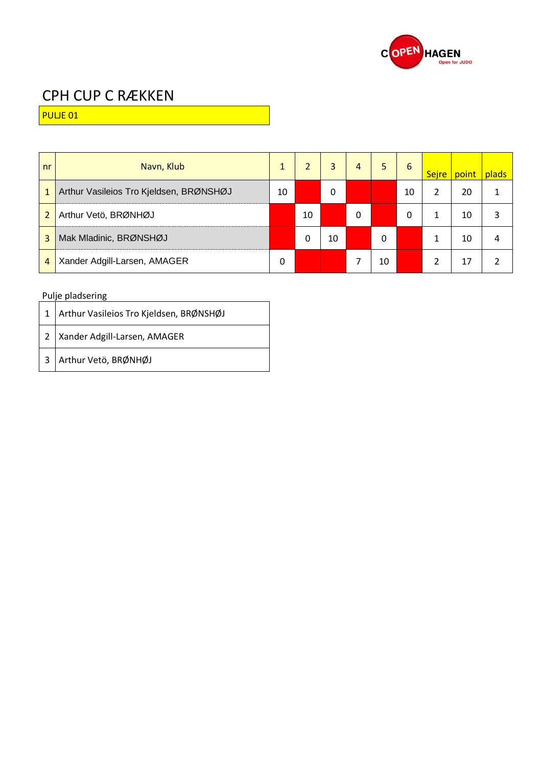

PULJE 01

| nr             | Navn, Klub                              |    |    | 3  | 4 | 5  | 6  | <b>Sejre</b> | point | plads |
|----------------|-----------------------------------------|----|----|----|---|----|----|--------------|-------|-------|
| $\mathbf{1}$   | Arthur Vasileios Tro Kjeldsen, BRØNSHØJ | 10 |    | 0  |   |    | 10 |              | 20    |       |
| $\overline{2}$ | Arthur Vetö, BRØNHØJ                    |    | 10 |    | 0 |    | 0  |              | 10    |       |
| 3              | Mak Mladinic, BRØNSHØJ                  |    | 0  | 10 |   | 0  |    |              | 10    |       |
| 4              | Xander Adgill-Larsen, AMAGER            | 0  |    |    |   | 10 |    |              | 17    |       |

| 1   Arthur Vasileios Tro Kjeldsen, BRØNSHØJ |
|---------------------------------------------|
| 2   Xander Adgill-Larsen, AMAGER            |
| 3 Arthur Vetö, BRØNHØJ                      |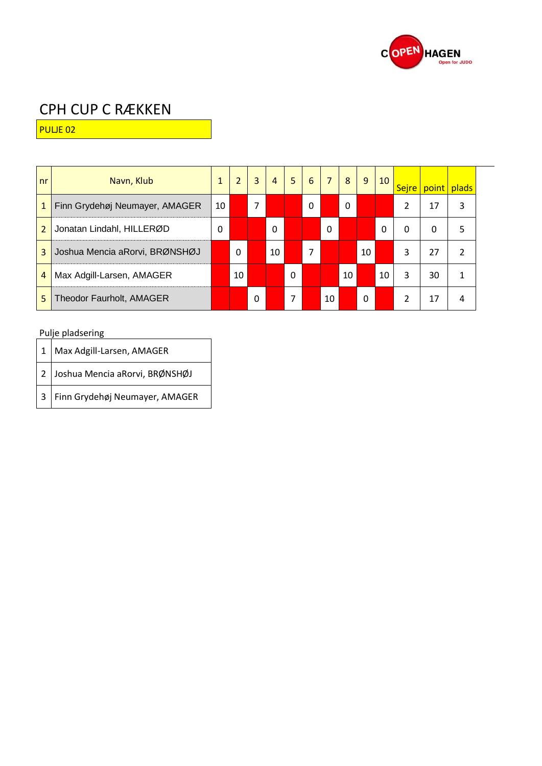

PULJE 02

| n <sub>r</sub> | Navn, Klub                     | 1  | $\overline{2}$ | $\overline{3}$ | $\overline{4}$ | 5 | 6 | $\overline{7}$ | 8  | 9  | 10 <sup>°</sup> | Sejre    | point | plads |  |
|----------------|--------------------------------|----|----------------|----------------|----------------|---|---|----------------|----|----|-----------------|----------|-------|-------|--|
| $\mathbf{1}$   | Finn Grydehøj Neumayer, AMAGER | 10 |                | 7              |                |   | 0 |                | 0  |    |                 |          | 17    | 3     |  |
| $\overline{2}$ | Jonatan Lindahl, HILLERØD      | 0  |                |                | $\Omega$       |   |   | $\Omega$       |    |    | 0               | $\Omega$ | 0     | 5     |  |
| 3              | Joshua Mencia aRorvi, BRØNSHØJ |    | 0              |                | 10             |   | 7 |                |    | 10 |                 | 3        | 27    | 2     |  |
| $\overline{4}$ | Max Adgill-Larsen, AMAGER      |    | 10             |                |                | 0 |   |                | 10 |    | 10              | 3        | 30    | 1     |  |
| 5              | Theodor Faurholt, AMAGER       |    |                | 0              |                | 7 |   | 10             |    | 0  |                 | ว        | 17    | 4     |  |

| $1$ Max Adgill-Larsen, AMAGER    |
|----------------------------------|
| 2 Joshua Mencia aRorvi, BRØNSHØJ |
| 3 Finn Grydehøj Neumayer, AMAGER |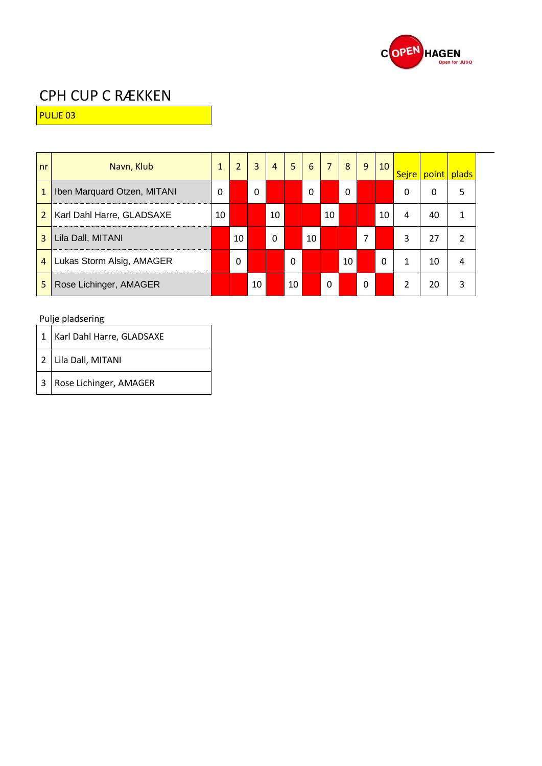

PULJE 03

| nr             | Navn, Klub                  | $\mathbf{1}$ | $\overline{2}$ | 3  | $\overline{4}$ | 5        | 6        | $\overline{7}$ | 8  | 9 | 10 |                          | Sejre   point | plads |
|----------------|-----------------------------|--------------|----------------|----|----------------|----------|----------|----------------|----|---|----|--------------------------|---------------|-------|
| $\mathbf{1}$   | Iben Marquard Otzen, MITANI | 0            |                | 0  |                |          | $\Omega$ |                | -0 |   |    | 0                        | 0             | 5     |
| $\overline{2}$ | Karl Dahl Harre, GLADSAXE   | 10           |                |    | 10             |          |          | 10             |    |   | 10 | 4                        | 40            | 1     |
| 3              | Lila Dall, MITANI           |              | 10             |    | 0              |          | 10       |                |    | 7 |    | 3                        | 27            | 2     |
| $\overline{4}$ | Lukas Storm Alsig, AMAGER   |              | $\Omega$       |    |                | $\Omega$ |          |                | 10 |   | 0  | 1                        | 10            | 4     |
| 5              | Rose Lichinger, AMAGER      |              |                | 10 |                | 10       |          | 0              |    | 0 |    | $\overline{\mathcal{L}}$ | 20            | 3     |

|                | Karl Dahl Harre, GLADSAXE |
|----------------|---------------------------|
|                | 2 Lila Dall, MITANI       |
| $\overline{3}$ | Rose Lichinger, AMAGER    |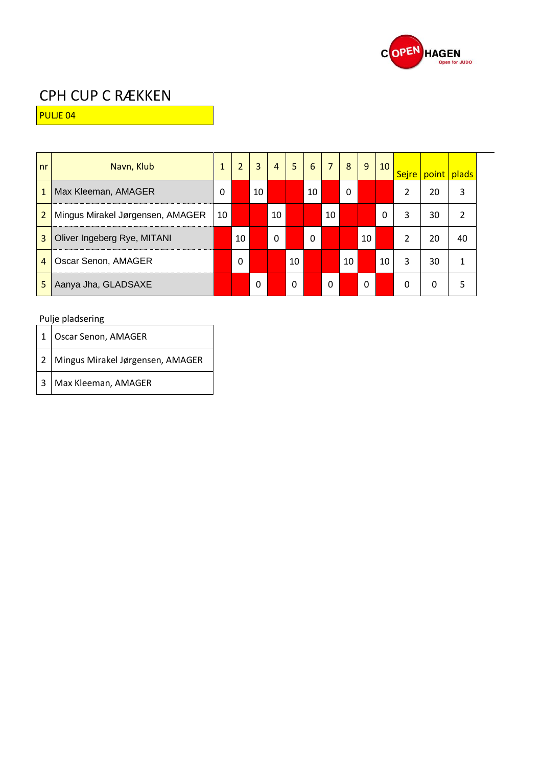

PULJE 04

| nr             | Navn, Klub                       | 1  | 2  | 3        | $\overline{4}$ | 5  | 6        | $\overline{7}$ | 8        | 9  | 10 | Sejre          | point | plads |
|----------------|----------------------------------|----|----|----------|----------------|----|----------|----------------|----------|----|----|----------------|-------|-------|
| $\mathbf{1}$   | Max Kleeman, AMAGER              | 0  |    | 10       |                |    | 10       |                | $\Omega$ |    |    | $\mathfrak{p}$ | 20    | 3     |
| $\overline{2}$ | Mingus Mirakel Jørgensen, AMAGER | 10 |    |          | 10             |    |          | 10             |          |    | 0  | 3              | 30    | 2     |
| 3              | Oliver Ingeberg Rye, MITANI      |    | 10 |          | 0              |    | $\Omega$ |                |          | 10 |    | $\overline{2}$ | 20    | 40    |
| $\overline{4}$ | Oscar Senon, AMAGER              |    | 0  |          |                | 10 |          |                | 10       |    | 10 | 3              | 30    | 1     |
| 5              | Aanya Jha, GLADSAXE              |    |    | $\Omega$ |                | 0  |          | $\Omega$       |          | 0  |    | 0              | 0     | 5     |

| 1   Oscar Senon, AMAGER            |
|------------------------------------|
| 2 Mingus Mirakel Jørgensen, AMAGER |
| 3   Max Kleeman, AMAGER            |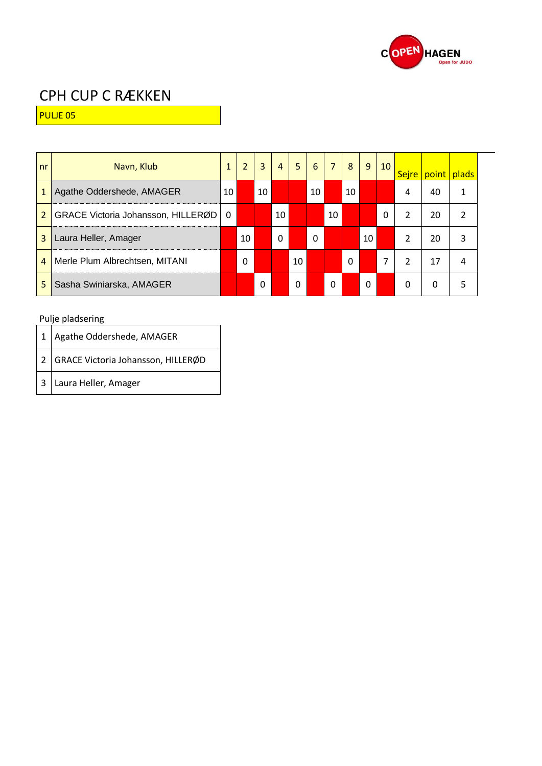

PULJE 05

| n <sub>r</sub> | Navn, Klub                         | 1  | $\overline{2}$ | 3  | $\overline{4}$ | 5 <sup>1</sup> | 6  | $\overline{7}$ | 8        | 9  | 10 <sup>°</sup> |                | Sejre   point   plads |                |  |
|----------------|------------------------------------|----|----------------|----|----------------|----------------|----|----------------|----------|----|-----------------|----------------|-----------------------|----------------|--|
| 1              | Agathe Oddershede, AMAGER          | 10 |                | 10 |                |                | 10 |                | 10       |    |                 | 4              | 40                    |                |  |
| $\overline{2}$ | GRACE Victoria Johansson, HILLERØD | 0  |                |    | 10             |                |    | 10             |          |    | 0               | 2              | 20                    | $\mathfrak{p}$ |  |
| 3              | Laura Heller, Amager               |    | 10             |    | 0              |                | 0  |                |          | 10 |                 | $\mathfrak{p}$ | 20                    | 3              |  |
| $\overline{4}$ | Merle Plum Albrechtsen, MITANI     |    | 0              |    |                | 10             |    |                | $\Omega$ |    | 7               |                | 17                    | 4              |  |
| 5              | Sasha Swiniarska, AMAGER           |    |                | 0  |                | 0              |    | 0              |          | 0  |                 | 0              | 0                     | 5              |  |

| $1$ Agathe Oddershede, AMAGER        |
|--------------------------------------|
| 2 GRACE Victoria Johansson, HILLERØD |
| 3 Laura Heller, Amager               |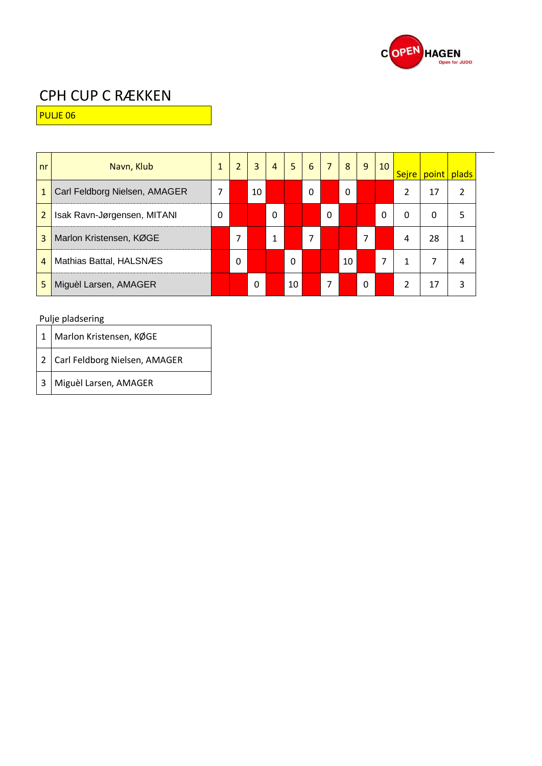

PULJE 06

| nr             | Navn, Klub                    | $\mathbf{1}$ | $\overline{2}$ | 3  | $\overline{4}$ | 5  | 6        | $\overline{7}$ | 8  | 9 | 10 |               | Sejre point | plads |
|----------------|-------------------------------|--------------|----------------|----|----------------|----|----------|----------------|----|---|----|---------------|-------------|-------|
| $\mathbf{1}$   | Carl Feldborg Nielsen, AMAGER | 7            |                | 10 |                |    | $\Omega$ |                | -0 |   |    | $\mathfrak z$ | 17          | 2     |
| $\overline{2}$ | Isak Ravn-Jørgensen, MITANI   | 0            |                |    | $\Omega$       |    |          | $\Omega$       |    |   | 0  | 0             | 0           | 5     |
| 3              | Marlon Kristensen, KØGE       |              |                |    | 1              |    |          |                |    | 7 |    | 4             | 28          | 1     |
| $\overline{4}$ | Mathias Battal, HALSNÆS       |              | $\Omega$       |    |                | 0  |          |                | 10 |   | 7  | 1             | 7           | 4     |
| 5              | Miguèl Larsen, AMAGER         |              |                | 0  |                | 10 |          | 7              |    | 0 |    | 2             | 17          | 3     |

| $\mathbf{1}$   | Marlon Kristensen, KØGE         |
|----------------|---------------------------------|
|                | 2 Carl Feldborg Nielsen, AMAGER |
| $\overline{3}$ | Miguèl Larsen, AMAGER           |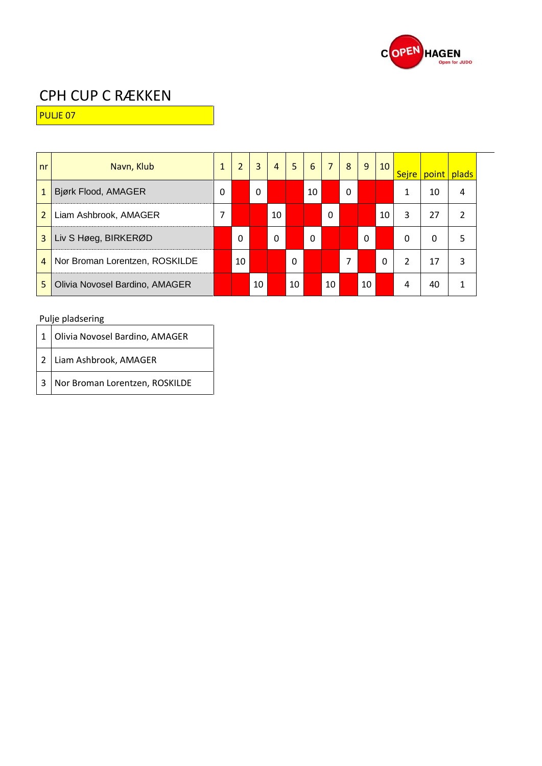

PULJE 07

| n <sub>r</sub> | Navn, Klub                     | 1 | $\overline{2}$ | 3            | $\overline{4}$ | 5  | 6        | $\overline{7}$ | 8 | 9        | 10 |   | Sejre   point | <b>plads</b> |
|----------------|--------------------------------|---|----------------|--------------|----------------|----|----------|----------------|---|----------|----|---|---------------|--------------|
| $\mathbf{1}$   | Bjørk Flood, AMAGER            | 0 |                | $\mathbf{0}$ |                |    | 10       |                | 0 |          |    |   | 10            | 4            |
| $\overline{2}$ | Liam Ashbrook, AMAGER          | 7 |                |              | 10             |    |          | 0              |   |          | 10 | 3 | 27            | 2            |
| 3              | Liv S Høeg, BIRKERØD           |   | $\Omega$       |              | 0              |    | $\Omega$ |                |   | $\Omega$ |    | 0 | 0             | 5            |
| $\overline{4}$ | Nor Broman Lorentzen, ROSKILDE |   | 10             |              |                | 0  |          |                | 7 |          | 0  | 2 | 17            | 3            |
| 5              | Olivia Novosel Bardino, AMAGER |   |                | 10           |                | 10 |          | 10             |   | 10       |    | 4 | 40            | 1            |

|                | 1 Olivia Novosel Bardino, AMAGER |
|----------------|----------------------------------|
|                | 2 Liam Ashbrook, AMAGER          |
| 3 <sup>1</sup> | Nor Broman Lorentzen, ROSKILDE   |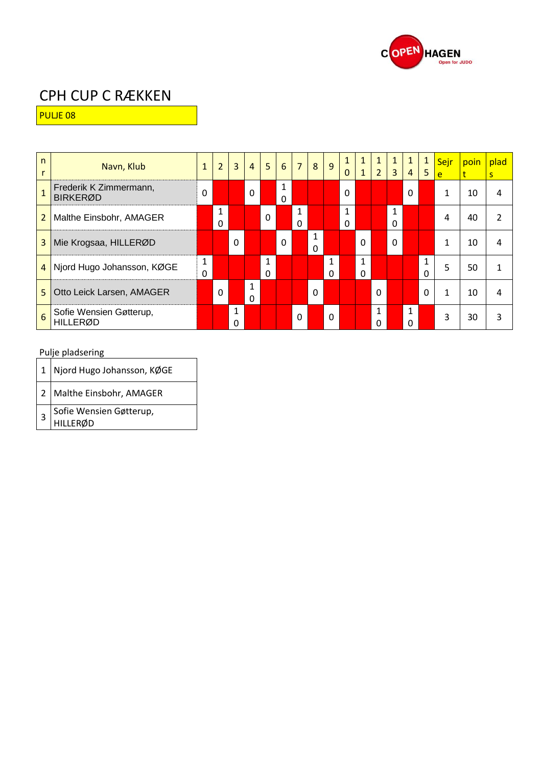

PULJE 08

| $\mathsf{n}$<br>r | Navn, Klub                                 | $\mathbf{1}$ | $\overline{2}$ | $\overline{3}$ | $\overline{4}$    | 5                        | 6             | $\overline{7}$ | 8             | 9             | 1<br>$\Omega$ | $\mathbf{1}$<br>$\mathbf{1}$ | $\mathbf{1}$<br>2 <sup>1</sup> | $\mathbf{1}$<br>$\overline{3}$ | $\overline{4}$ | $\mathbf{1}$<br>5 | Sejr<br>e | poin | plad<br><sub>S</sub> |
|-------------------|--------------------------------------------|--------------|----------------|----------------|-------------------|--------------------------|---------------|----------------|---------------|---------------|---------------|------------------------------|--------------------------------|--------------------------------|----------------|-------------------|-----------|------|----------------------|
| $\overline{1}$    | Frederik K Zimmermann,<br><b>BIRKERØD</b>  | 0            |                |                | $\Omega$          |                          | 1<br>$\Omega$ |                |               |               | $\Omega$      |                              |                                |                                | 0              |                   | 1         | 10   | 4                    |
| $\overline{2}$    | Malthe Einsbohr, AMAGER                    |              | 1<br>0         |                |                   | $\mathbf 0$              |               | 1<br>$\Omega$  |               |               | 1<br>$\Omega$ |                              |                                | 1<br>$\Omega$                  |                |                   | 4         | 40   | $\mathfrak{p}$       |
| 3                 | Mie Krogsaa, HILLERØD                      |              |                | $\Omega$       |                   |                          | $\Omega$      |                | 1<br>$\Omega$ |               |               | $\Omega$                     |                                | $\Omega$                       |                |                   | 1         | 10   | 4                    |
|                   | 4 Njord Hugo Johansson, KØGE               | 1<br>0       |                |                |                   | $\mathbf{1}$<br>$\Omega$ |               |                |               | 1<br>$\Omega$ |               | 1<br>$\Omega$                |                                |                                |                | 1<br>$\Omega$     | 5         | 50   | 1                    |
| 5                 | Otto Leick Larsen, AMAGER                  |              | $\Omega$       |                | 1<br>$\mathbf{0}$ |                          |               |                | $\Omega$      |               |               |                              | $\Omega$                       |                                |                | $\Omega$          | 1         | 10   | 4                    |
| 6                 | Sofie Wensien Gøtterup,<br><b>HILLERØD</b> |              |                | 1<br>ი         |                   |                          |               | $\Omega$       |               | 0             |               |                              | 1<br>O                         |                                | 1<br>0         |                   | 3         | 30   | 3                    |

| $\left  1 \right $ Njord Hugo Johansson, KØGE |
|-----------------------------------------------|
| 2 Malthe Einsbohr, AMAGER                     |
| Sofie Wensien Gøtterup,                       |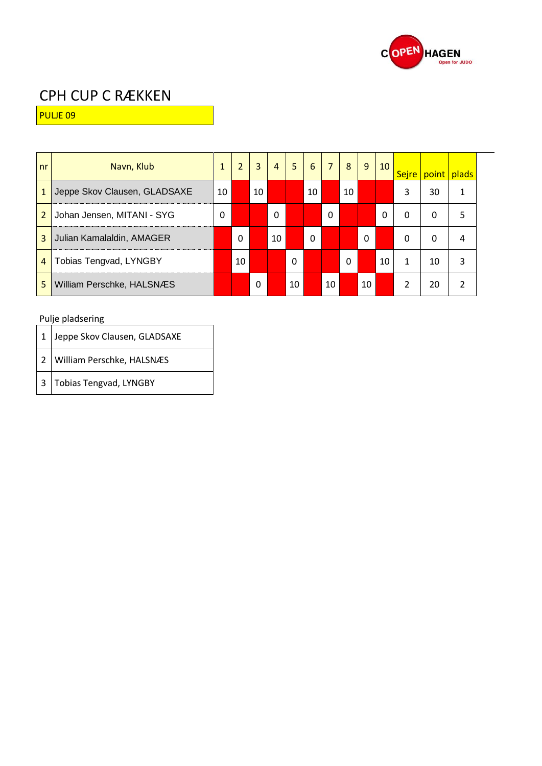

PULJE 09

| nr             | Navn, Klub                   | 1  | $\overline{2}$ | 3        | $\overline{4}$ | 5  | 6        | 7  | 8        | 9           | 10 | Sejre         | point | plads          |
|----------------|------------------------------|----|----------------|----------|----------------|----|----------|----|----------|-------------|----|---------------|-------|----------------|
| $\mathbf{1}$   | Jeppe Skov Clausen, GLADSAXE | 10 |                | 10       |                |    | 10       |    | 10       |             |    | 3             | 30    | 1              |
| $\overline{2}$ | Johan Jensen, MITANI - SYG   | 0  |                |          | 0              |    |          | 0  |          |             | 0  | 0             | 0     | 5              |
| 3              | Julian Kamalaldin, AMAGER    |    | $\Omega$       |          | 10             |    | $\Omega$ |    |          | $\mathbf 0$ |    | 0             | 0     | 4              |
| $\overline{4}$ | Tobias Tengvad, LYNGBY       |    | 10             |          |                | 0  |          |    | $\Omega$ |             | 10 | 1             | 10    | 3              |
| 5              | William Perschke, HALSNÆS    |    |                | $\Omega$ |                | 10 |          | 10 |          | 10          |    | $\mathfrak z$ | 20    | $\mathfrak{p}$ |

| 1 Jeppe Skov Clausen, GLADSAXE |
|--------------------------------|
| 2 William Perschke, HALSNÆS    |
| 3 Tobias Tengvad, LYNGBY       |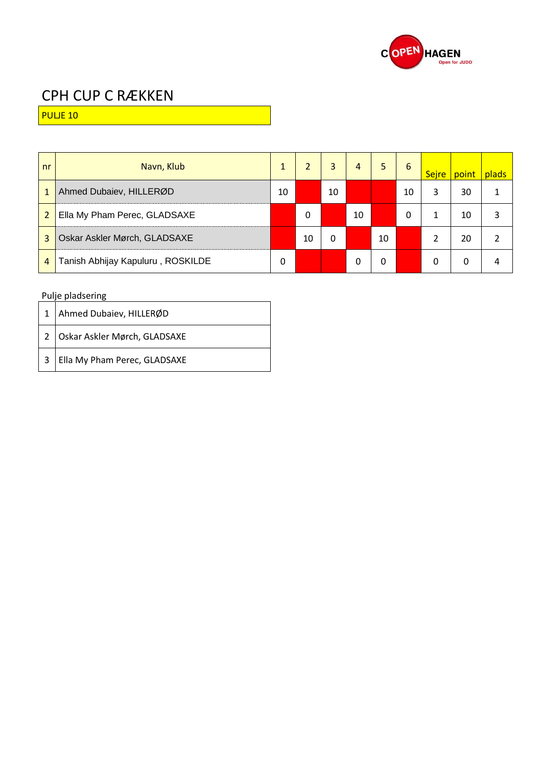

PULJE 10

| nr             | Navn, Klub                        |    | $\overline{2}$ | 3  | 4  | 5  | 6  | Sejre | point | plads |
|----------------|-----------------------------------|----|----------------|----|----|----|----|-------|-------|-------|
| $\mathbf{1}$   | Ahmed Dubaiev, HILLERØD           | 10 |                | 10 |    |    | 10 | 3     | 30    |       |
| $\overline{2}$ | Ella My Pham Perec, GLADSAXE      |    | 0              |    | 10 |    | 0  |       | 10    |       |
| 3              | Oskar Askler Mørch, GLADSAXE      |    | 10             | 0  |    | 10 |    |       | 20    |       |
| 4              | Tanish Abhijay Kapuluru, ROSKILDE | 0  |                |    | 0  | 0  |    | 0     | Ω     |       |

|                         | 1   Ahmed Dubaiev, HILLERØD         |
|-------------------------|-------------------------------------|
|                         | 2   Oskar Askler Mørch, GLADSAXE    |
| $\overline{\mathbf{3}}$ | <b>Ella My Pham Perec, GLADSAXE</b> |